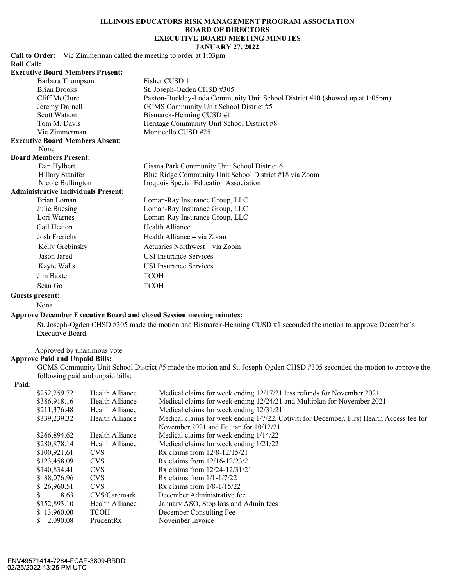# ILLINOIS EDUCATORS RISK MANAGEMENT PROGRAM ASSOCIATION BOARD OF DIRECTORS<br>EXECUTIVE BOARD MEETING MINUTES CATORS RISK MANAGEMENT PROGRAM ASSOCIATION<br>
BOARD OF DIRECTORS<br>
EXECUTIVE BOARD MEETING MINUTES<br>
JANUARY 27, 2022<br>
eting to order at 1:03pm<br>
ner CUSD 1<br>
New York and SUSD WAS

# JANUARY 27, 2022

Call to Order: Vic Zimmerman called the meeting to order at 1:03pm Roll Call:

| <b>Executive Board Members Present:</b>    |                                                                              |
|--------------------------------------------|------------------------------------------------------------------------------|
| Barbara Thompson                           | Fisher CUSD 1                                                                |
| <b>Brian Brooks</b>                        | St. Joseph-Ogden CHSD #305                                                   |
| Cliff McClure                              | Paxton-Buckley-Loda Community Unit School District #10 (showed up at 1:05pm) |
| Jeremy Darnell                             | GCMS Community Unit School District #5                                       |
| Scott Watson                               | Bismarck-Henning CUSD #1                                                     |
| Tom M. Davis                               | Heritage Community Unit School District #8                                   |
| Vic Zimmerman                              | Monticello CUSD #25                                                          |
| <b>Executive Board Members Absent:</b>     |                                                                              |
| None                                       |                                                                              |
| <b>Board Members Present:</b>              |                                                                              |
| Dan Hylbert                                | Cissna Park Community Unit School District 6                                 |
| Hillary Stanifer                           | Blue Ridge Community Unit School District #18 via Zoom                       |
| Nicole Bullington                          | Iroquois Special Education Association                                       |
| <b>Administrative Individuals Present:</b> |                                                                              |
| Brian Loman                                | Loman-Ray Insurance Group, LLC                                               |
| Julie Buesing                              | Loman-Ray Insurance Group, LLC                                               |
| Lori Warnes                                | Loman-Ray Insurance Group, LLC                                               |
| Gail Heaton                                | Health Alliance                                                              |
| Josh Frerichs                              | Health Alliance - via Zoom                                                   |
| Kelly Grebinsky                            | Actuaries Northwest – via Zoom                                               |
| Jason Jared                                | <b>USI</b> Insurance Services                                                |
| Kayte Walls                                | <b>USI</b> Insurance Services                                                |
| Jim Baxter                                 | <b>TCOH</b>                                                                  |

## Sean Go **TCOH** Guests present:

#### Approve December Executive Board and closed Session meeting minutes:

# Approve Paid and Unpaid Bills:

#### Paid:

|       | Gail Heaton                           |                 | Health Alliance                                                                                                          |
|-------|---------------------------------------|-----------------|--------------------------------------------------------------------------------------------------------------------------|
|       | Josh Frerichs                         |                 | Health Alliance – via Zoom                                                                                               |
|       | Kelly Grebinsky                       |                 | Actuaries Northwest – via Zoom                                                                                           |
|       | Jason Jared                           |                 | <b>USI</b> Insurance Services                                                                                            |
|       | Kayte Walls                           |                 | <b>USI</b> Insurance Services                                                                                            |
|       | Jim Baxter                            |                 | <b>TCOH</b>                                                                                                              |
|       | Sean Go                               |                 | <b>TCOH</b>                                                                                                              |
|       | <b>Guests present:</b>                |                 |                                                                                                                          |
|       | None                                  |                 |                                                                                                                          |
|       |                                       |                 | <b>Approve December Executive Board and closed Session meeting minutes:</b>                                              |
|       | Executive Board.                      |                 | St. Joseph-Ogden CHSD #305 made the motion and Bismarck-Henning CUSD #1 seconded the motion to approve December's        |
|       |                                       |                 |                                                                                                                          |
|       | Approved by unanimous vote            |                 |                                                                                                                          |
|       | <b>Approve Paid and Unpaid Bills:</b> |                 |                                                                                                                          |
|       |                                       |                 | GCMS Community Unit School District #5 made the motion and St. Joseph-Ogden CHSD #305 seconded the motion to approve the |
|       | following paid and unpaid bills:      |                 |                                                                                                                          |
| Paid: |                                       |                 |                                                                                                                          |
|       | \$252,259.72                          | Health Alliance | Medical claims for week ending 12/17/21 less refunds for November 2021                                                   |
|       | \$386,918.16                          | Health Alliance | Medical claims for week ending 12/24/21 and Multiplan for November 2021                                                  |
|       | \$211,376.48                          | Health Alliance | Medical claims for week ending 12/31/21                                                                                  |
|       | \$339,239.32                          | Health Alliance | Medical claims for week ending 1/7/22, Cotiviti for December, First Health Access fee for                                |
|       |                                       |                 | November 2021 and Equian for 10/12/21                                                                                    |
|       | \$266,894.62                          | Health Alliance | Medical claims for week ending 1/14/22                                                                                   |
|       | \$280,878.14                          | Health Alliance | Medical claims for week ending 1/21/22                                                                                   |
|       | \$100,921.61                          | <b>CVS</b>      | Rx claims from 12/8-12/15/21                                                                                             |
|       | \$123,458.09                          | <b>CVS</b>      | Rx claims from 12/16-12/23/21                                                                                            |
|       | \$140,834.41                          | <b>CVS</b>      | Rx claims from $12/24 - 12/31/21$                                                                                        |
|       | \$38,076.96                           | <b>CVS</b>      | Rx claims from $1/1 - 1/7/22$                                                                                            |
|       | \$26,960.51                           | <b>CVS</b>      | Rx claims from $1/8 - 1/15/22$                                                                                           |
|       | 8.63                                  | CVS/Caremark    | December Administrative fee                                                                                              |
|       | \$152,893.10                          | Health Alliance | January ASO, Stop loss and Admin fees                                                                                    |
|       | \$13,960.00                           | <b>TCOH</b>     | December Consulting Fee                                                                                                  |
|       | \$2,090.08                            | PrudentRx       | November Invoice                                                                                                         |
|       |                                       |                 |                                                                                                                          |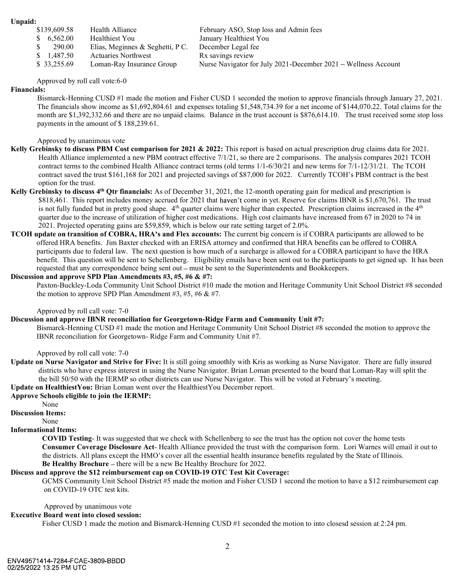| \$139,609.58                                  | Health Alliance                                                | February ASO, Stop loss and Admin fees                         |
|-----------------------------------------------|----------------------------------------------------------------|----------------------------------------------------------------|
| 6,562.00<br>S                                 | Healthiest You                                                 | January Healthiest You                                         |
| 290.00<br>S                                   |                                                                |                                                                |
| S                                             | Elias, Meginnes & Seghetti, P C.<br><b>Actuaries Northwest</b> | December Legal fee                                             |
| <b>Unpaid:</b><br>1,487.50                    |                                                                | Rx savings review                                              |
| \$33,255.69<br>Approved by roll call vote:6-0 | Loman-Ray Insurance Group                                      | Nurse Navigator for July 2021-December 2021 - Wellness Account |

## Financials:

Bismarck-Henning CUSD #1 made the motion and Fisher CUSD 1 seconded the motion to approve financials through January 27, 2021. The financials show income as \$1,692,804.61 and expenses totaling \$1,548,734.39 for a net income of \$144,070.22. Total claims for the month are \$1,392,332.66 and there are no unpaid claims. Balance in the trust account is \$876,614.10. The trust received some stop loss payments in the amount of \$ 188,239.61.

Approved by unanimous vote

- Unpaid:<br>
S  $6,562.00$  Health Alliance<br>
S  $6,562.00$  Healthists You<br>
S  $200.00$  Hina, Negimes & Seghetti, PC. December Legal fee<br>
S  $1,487.50$  Actuaries Northwest<br>
S  $33,255.69$  Loman-Ray Insurance Group Nurse Navigator fo Health Alliance implemented a new PBM contract effective 7/1/21, so there are 2 comparisons. The analysis compares 2021 TCOH contract terms to the combined Health Alliance contract terms (old terms 1/1-6/30/21 and new terms for 7/1-12/31/21. The TCOH contract saved the trust \$161,168 for 2021 and projected savings of \$87,000 for 2022. Currently TCOH s PBM contract is the best option for the trust.
- Kelly Grebinsky to discuss 4<sup>th</sup> Qtr financials: As of December 31, 2021, the 12-month operating gain for medical and prescription is **Empaid:**<br>
\$818,560.30 Healthiest You<br>
\$6.562.00 Healthiest You<br>
\$7.62.00 Healthiest You<br>
\$7.62.00 Healthiest You<br>
\$7.62.00 Healthiest You<br>
\$1.487.50 Actuaries Northwest<br>
\$1.487.50 Actuaries Northwest<br>
\$1.487.50 Londa-Ray is not fully funded but in pretty good shape.  $4<sup>th</sup>$  quarter claims were higher than expected. Prescription claims increased in the  $4<sup>th</sup>$  quarter due to the increase of utilization of higher cost medications. High cost claimants have increased from 67 in 2020 to 74 in 2021. Projected operating gains are \$59,859, which is below our rate setting target of 2.0%.
- S 2000 for Elemental Solution of Elemental Solutions (Equality). The current participant of COBRA participants of COBRA participants: The current current current current current current current current current current cur offered HRA benefits. Jim Baxter checked with an ERISA attorney and confirmed that HRA benefits can be offered to COBRA participants due to federal law. The next question is how much of a surcharge is allowed for a COBRA participant to have the HRA benefit. This question will be sent to Schellenberg. Eligibility emails have been sent out to the participants to get signed up. It has been requested that any correspondence being sent out - must be sent to the Superintendents and Bookkeepers. contract styles thus St61,166 for 2021 and projected savings of \$87,000 for 2022. Currently COH's PBM contract is the best<br>copies of the first Grebinsky to discuss A <sup>40</sup> Or financials: As of December 31, 2021, the 12-mon

# Discussion and approve SPD Plan Amendments #3, #5, #6 & #7:

 Paxton-Buckley-Loda Community Unit School District #10 made the motion and Heritage Community Unit School District #8 seconded the motion to approve SPD Plan Amendment #3, #5, #6 & #7.

Approved by roll call vote: 7-0

Discussion and approve IBNR reconciliation for Georgetown-Ridge Farm and Community Unit #7:

 Bismarck-Henning CUSD #1 made the motion and Heritage Community Unit School District #8 seconded the motion to approve the IBNR reconciliation for Georgetown- Ridge Farm and Community Unit #7.

Approved by roll call vote: 7-0

 districts who have express interest in using the Nurse Navigator. Brian Loman presented to the board that Loman-Ray will split the the bill 50/50 with the IERMP so other districts can use Nurse Navigator. This will be voted at February's meeting.

Update on HealthiestYou: Brian Loman went over the HealthiestYou December report.

#### Approve Schools eligible to join the IERMP:

None

Discussion Items:

None

## Informational Items:

 COVID Testing- It was suggested that we check with Schellenberg to see the trust has the option not cover the home tests Consumer Coverage Disclosure Act- Health Alliance provided the trust with the comparison form. Lori Warnes will email it out to the districts. All plans except the HMO's cover all the essential health insurance benefits regulated by the State of Illinois. Be Healthy Brochure – there will be a new Be Healthy Brochure for 2022.

# Discuss and approve the \$12 reimbursement cap on COVID-19 OTC Test Kit Coverage:

GCMS Community Unit School District #5 made the motion and Fisher CUSD 1 second the motion to have a \$12 reimbursement cap on COVID-19 OTC test kits.

Approved by unanimous vote

# Executive Board went into closed session:

Fisher CUSD 1 made the motion and Bismarck-Henning CUSD #1 seconded the motion to into closesd session at 2:24 pm.